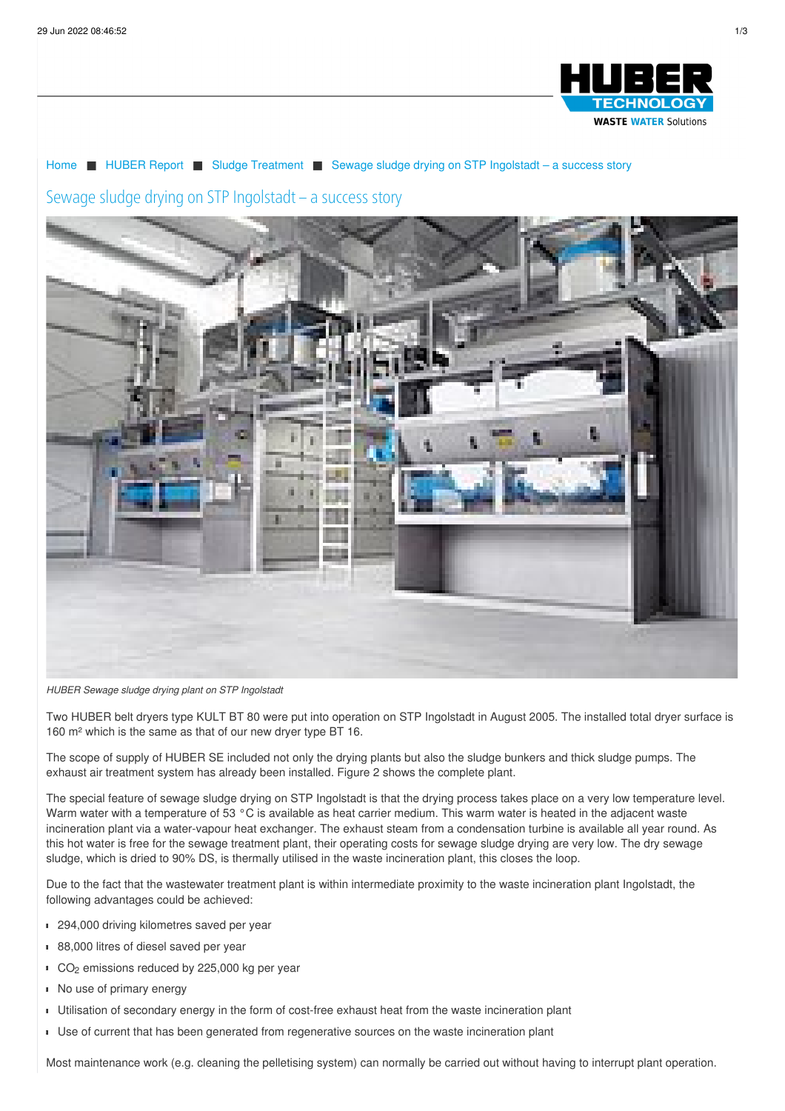

## [Home](/) ■ [HUBER](/huber-report.html) Report ■ Sludge [Treatment](/huber-report/ablage-berichte/sludge-treatment.html) ■ Sewage sludge drying on STP [Ingolstadt](/huber-report/ablage-berichte/sludge-treatment/sewage-sludge-drying-on-stp-ingolstadt-a-success-story.html) – a success story

## Sewage sludge drying on STP Ingolstadt – a success story



*HUBER Sewage sludge drying plant on STP Ingolstadt*

Two HUBER belt dryers type KULT BT 80 were put into operation on STP Ingolstadt in August 2005. The installed total dryer surface is 160 m² which is the same as that of our new dryer type BT 16.

The scope of supply of HUBER SE included not only the drying plants but also the sludge bunkers and thick sludge pumps. The exhaust air treatment system has already been installed. Figure 2 shows the complete plant.

The special feature of sewage sludge drying on STP Ingolstadt is that the drying process takes place on a very low temperature level. Warm water with a temperature of 53 °C is available as heat carrier medium. This warm water is heated in the adjacent waste incineration plant via a water-vapour heat exchanger. The exhaust steam from a condensation turbine is available all year round. As this hot water is free for the sewage treatment plant, their operating costs for sewage sludge drying are very low. The dry sewage sludge, which is dried to 90% DS, is thermally utilised in the waste incineration plant, this closes the loop.

Due to the fact that the wastewater treatment plant is within intermediate proximity to the waste incineration plant Ingolstadt, the following advantages could be achieved:

- <sup>294,000</sup> driving kilometres saved per year
- 88,000 litres of diesel saved per year
- $CO<sub>2</sub>$  emissions reduced by 225,000 kg per year
- No use of primary energy
- Utilisation of secondary energy in the form of cost-free exhaust heat from the waste incineration plant
- Use of current that has been generated from regenerative sources on the waste incineration plant

Most maintenance work (e.g. cleaning the pelletising system) can normally be carried out without having to interrupt plant operation.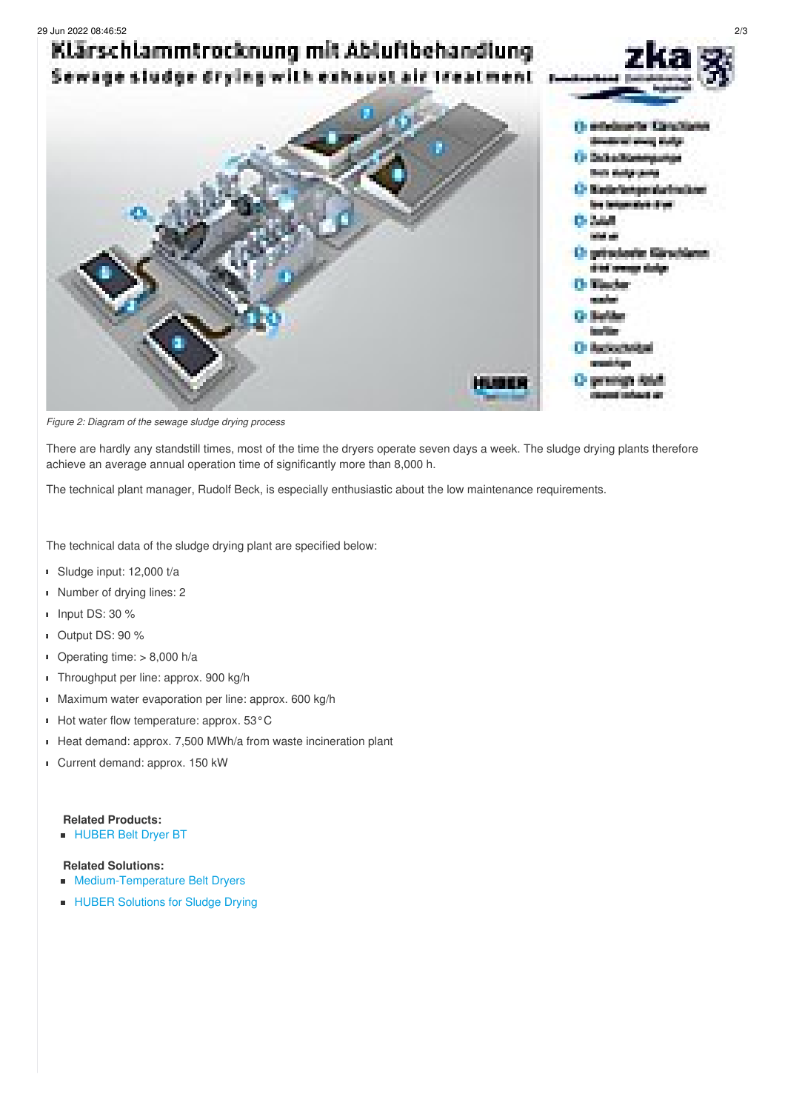

*Figure 2: Diagram of the sewage sludge drying process*

There are hardly any standstill times, most of the time the dryers operate seven days a week. The sludge drying plants therefore achieve an average annual operation time of significantly more than 8,000 h.

The technical plant manager, Rudolf Beck, is especially enthusiastic about the low maintenance requirements.

The technical data of the sludge drying plant are specified below:

- Sludge input: 12,000 t/a
- Number of drying lines: 2
- Input DS: 30 %
- Output DS: 90 %
- Operating time: > 8,000 h/a
- **Throughput per line: approx. 900 kg/h**
- **Maximum water evaporation per line: approx. 600 kg/h**
- Hot water flow temperature: approx. 53°C
- Heat demand: approx. 7,500 MWh/a from waste incineration plant  $\blacksquare$
- Current demand: approx. 150 kW

## **Related Products:**

**[HUBER](/products/sludge-treatment/sludge-drying/huber-belt-dryer-bt.html) Belt Dryer BT** 

## **Related Solutions:**

- [Medium-Temperature](/solutions/sludge-treatment/sludge-drying/middle-temperature-drying.html) Belt Dryers  $\blacksquare$
- **HUBER [Solutions](/solutions/sludge-treatment/sludge-drying.html) for Sludge Drying**